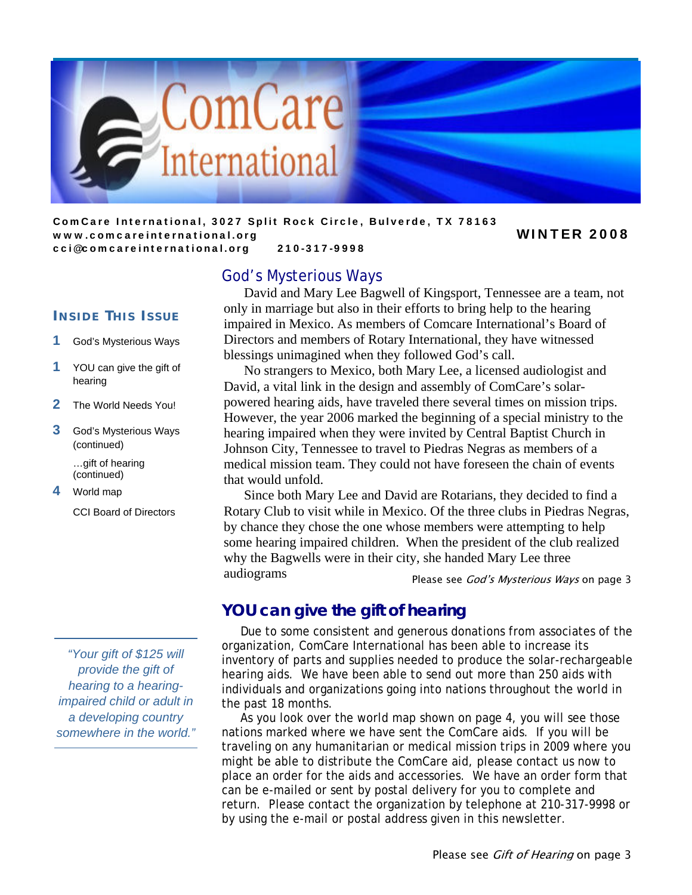

ComCare International, 3027 Split Rock Circle, Bulverde, TX 78163 www.comcareinternational.org Number 2008 cci@comcareinternational.org 210-317-9998

#### God's Mysterious Ways

**I NSIDE T HIS I SSUE**

- 1 God's Mysterious Ways
- 1 YOU can give the gift of hearing
- 2 The World Needs You!
- 3 God's Mysterious Ways (continued)

 …gift of hearing (continued)

4 World map

CCI Board of Directors

*"Your gift of \$125 will provide the gift of hearing to a hearingimpaired child or adult in a developing country somewhere in the world."* 

# David and Mary Lee Bagwell of Kingsport, Tennessee are a team, not only in marriage but also in their efforts to bring help to the hearing

impaired in Mexico. As members of Comcare International's Board of Directors and members of Rotary International, they have witnessed blessings unimagined when they followed God's call.

 No strangers to Mexico, both Mary Lee, a licensed audiologist and David, a vital link in the design and assembly of ComCare's solarpowered hearing aids, have traveled there several times on mission trips. However, the year 2006 marked the beginning of a special ministry to the hearing impaired when they were invited by Central Baptist Church in Johnson City, Tennessee to travel to Piedras Negras as members of a medical mission team. They could not have foreseen the chain of events that would unfold.

 Since both Mary Lee and David are Rotarians, they decided to find a Rotary Club to visit while in Mexico. Of the three clubs in Piedras Negras, by chance they chose the one whose members were attempting to help some hearing impaired children. When the president of the club realized why the Bagwells were in their city, she handed Mary Lee three audiograms

Please see *God's Mysterious Ways* on page 3

# **YOU can give the gift of hearing**

 Due to some consistent and generous donations from associates of the organization, ComCare International has been able to increase its inventory of parts and supplies needed to produce the solar-rechargeable hearing aids. We have been able to send out more than 250 aids with individuals and organizations going into nations throughout the world in the past 18 months.

 As you look over the world map shown on page 4, you will see those nations marked where we have sent the ComCare aids. If you will be traveling on any humanitarian or medical mission trips in 2009 where you might be able to distribute the ComCare aid, please contact us now to place an order for the aids and accessories. We have an order form that can be e-mailed or sent by postal delivery for you to complete and return. Please contact the organization by telephone at 210-317-9998 or by using the e-mail or postal address given in this newsletter.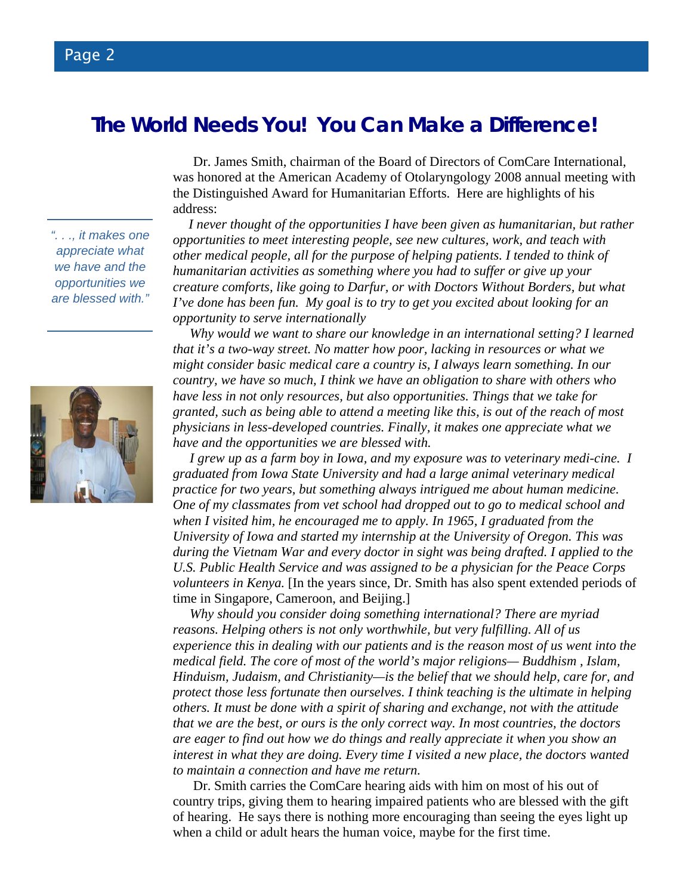# **The World Needs You! You Can Make a Difference!**

 Dr. James Smith, chairman of the Board of Directors of ComCare International, was honored at the American Academy of Otolaryngology 2008 annual meeting with the Distinguished Award for Humanitarian Efforts. Here are highlights of his address:

 *I never thought of the opportunities I have been given as humanitarian, but rather opportunities to meet interesting people, see new cultures, work, and teach with other medical people, all for the purpose of helping patients. I tended to think of humanitarian activities as something where you had to suffer or give up your creature comforts, like going to Darfur, or with Doctors Without Borders, but what I've done has been fun. My goal is to try to get you excited about looking for an opportunity to serve internationally* 

 *Why would we want to share our knowledge in an international setting? I learned that it's a two-way street. No matter how poor, lacking in resources or what we might consider basic medical care a country is, I always learn something. In our country, we have so much, I think we have an obligation to share with others who have less in not only resources, but also opportunities. Things that we take for granted, such as being able to attend a meeting like this, is out of the reach of most physicians in less-developed countries. Finally, it makes one appreciate what we have and the opportunities we are blessed with.* 

 *I grew up as a farm boy in Iowa, and my exposure was to veterinary medi-cine. I graduated from Iowa State University and had a large animal veterinary medical practice for two years, but something always intrigued me about human medicine. One of my classmates from vet school had dropped out to go to medical school and when I visited him, he encouraged me to apply. In 1965, I graduated from the University of Iowa and started my internship at the University of Oregon. This was during the Vietnam War and every doctor in sight was being drafted. I applied to the U.S. Public Health Service and was assigned to be a physician for the Peace Corps volunteers in Kenya.* [In the years since, Dr. Smith has also spent extended periods of time in Singapore, Cameroon, and Beijing.]

 *Why should you consider doing something international? There are myriad reasons. Helping others is not only worthwhile, but very fulfilling. All of us experience this in dealing with our patients and is the reason most of us went into the medical field. The core of most of the world's major religions— Buddhism , Islam, Hinduism, Judaism, and Christianity—is the belief that we should help, care for, and protect those less fortunate then ourselves. I think teaching is the ultimate in helping others. It must be done with a spirit of sharing and exchange, not with the attitude that we are the best, or ours is the only correct way. In most countries, the doctors are eager to find out how we do things and really appreciate it when you show an interest in what they are doing. Every time I visited a new place, the doctors wanted to maintain a connection and have me return.*

Dr. Smith carries the ComCare hearing aids with him on most of his out of country trips, giving them to hearing impaired patients who are blessed with the gift of hearing. He says there is nothing more encouraging than seeing the eyes light up when a child or adult hears the human voice, maybe for the first time.

*". . ., it makes one appreciate what we have and the opportunities we are blessed with."* 

Page 2

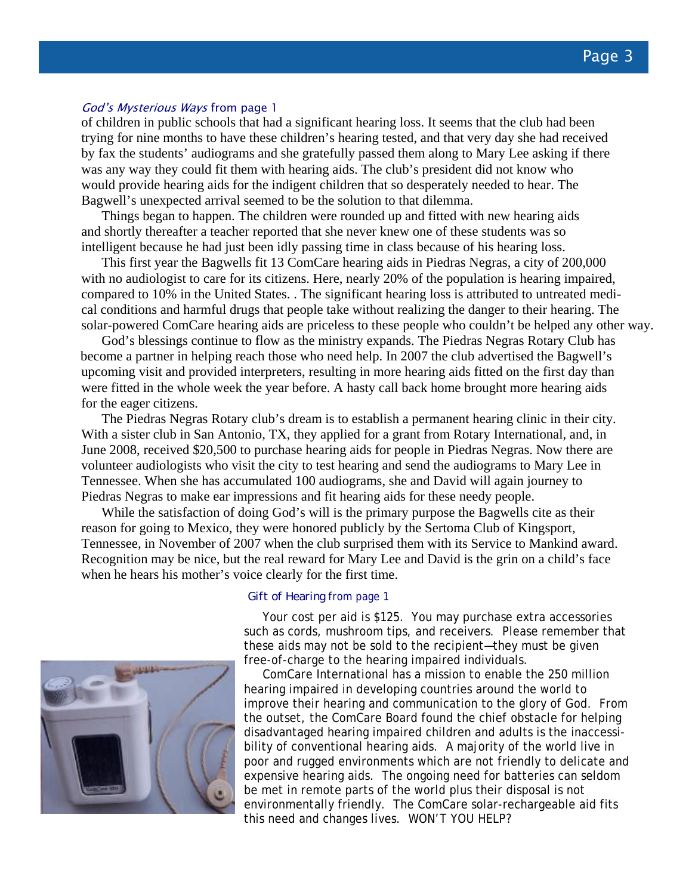#### God's Mysterious Ways from page 1

of children in public schools that had a significant hearing loss. It seems that the club had been trying for nine months to have these children's hearing tested, and that very day she had received by fax the students' audiograms and she gratefully passed them along to Mary Lee asking if there was any way they could fit them with hearing aids. The club's president did not know who would provide hearing aids for the indigent children that so desperately needed to hear. The Bagwell's unexpected arrival seemed to be the solution to that dilemma.

 Things began to happen. The children were rounded up and fitted with new hearing aids and shortly thereafter a teacher reported that she never knew one of these students was so intelligent because he had just been idly passing time in class because of his hearing loss.

 This first year the Bagwells fit 13 ComCare hearing aids in Piedras Negras, a city of 200,000 with no audiologist to care for its citizens. Here, nearly 20% of the population is hearing impaired, compared to 10% in the United States. . The significant hearing loss is attributed to untreated medical conditions and harmful drugs that people take without realizing the danger to their hearing. The solar-powered ComCare hearing aids are priceless to these people who couldn't be helped any other way.

 God's blessings continue to flow as the ministry expands. The Piedras Negras Rotary Club has become a partner in helping reach those who need help. In 2007 the club advertised the Bagwell's upcoming visit and provided interpreters, resulting in more hearing aids fitted on the first day than were fitted in the whole week the year before. A hasty call back home brought more hearing aids for the eager citizens.

 The Piedras Negras Rotary club's dream is to establish a permanent hearing clinic in their city. With a sister club in San Antonio, TX, they applied for a grant from Rotary International, and, in June 2008, received \$20,500 to purchase hearing aids for people in Piedras Negras. Now there are volunteer audiologists who visit the city to test hearing and send the audiograms to Mary Lee in Tennessee. When she has accumulated 100 audiograms, she and David will again journey to Piedras Negras to make ear impressions and fit hearing aids for these needy people.

While the satisfaction of doing God's will is the primary purpose the Bagwells cite as their reason for going to Mexico, they were honored publicly by the Sertoma Club of Kingsport, Tennessee, in November of 2007 when the club surprised them with its Service to Mankind award. Recognition may be nice, but the real reward for Mary Lee and David is the grin on a child's face when he hears his mother's voice clearly for the first time.



 Your cost per aid is \$125. You may purchase extra accessories such as cords, mushroom tips, and receivers. Please remember that these aids may not be sold to the recipient—they must be given free-of-charge to the hearing impaired individuals.

 ComCare International has a mission to enable the 250 million hearing impaired in developing countries around the world to improve their hearing and communication to the glory of God. From the outset, the ComCare Board found the chief obstacle for helping disadvantaged hearing impaired children and adults is the inaccessibility of conventional hearing aids. A majority of the world live in poor and rugged environments which are not friendly to delicate and expensive hearing aids. The ongoing need for batteries can seldom be met in remote parts of the world plus their disposal is not environmentally friendly. The ComCare solar-rechargeable aid fits this need and changes lives. WON'T YOU HELP?